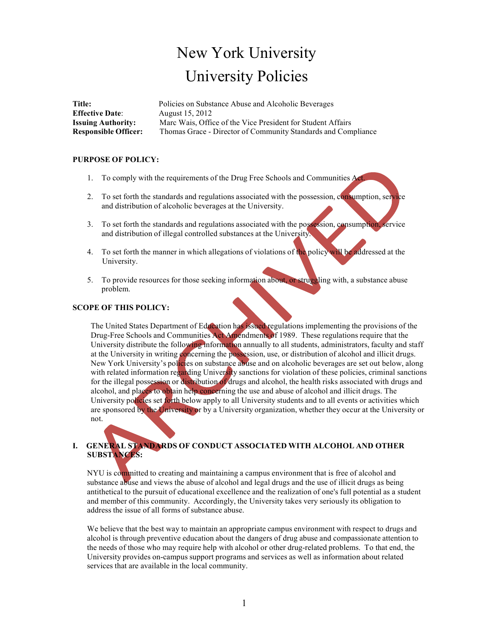# New York University University Policies

**Effective Date**: August 15, 2012

**Title:** Policies on Substance Abuse and Alcoholic Beverages **Issuing Authority:** Marc Wais, Office of the Vice President for Student Affairs **Responsible Officer:** Thomas Grace - Director of Community Standards and Compliance

## **PURPOSE OF POLICY:**

- 1. To comply with the requirements of the Drug Free Schools and Communities Act.
- 2. To set forth the standards and regulations associated with the possession, consumption, service and distribution of alcoholic beverages at the University.
- 3. To set forth the standards and regulations associated with the possession, consumption, service and distribution of illegal controlled substances at the University.
- 4. To set forth the manner in which allegations of violations of the policy will be addressed at the University.
- 5. To provide resources for those seeking information about, or struggling with, a substance abuse problem.

## **SCOPE OF THIS POLICY:**

The United States Department of Education has issued regulations implementing the provisions of the Drug-Free Schools and Communities Act Amendments of 1989. These regulations require that the University distribute the following information annually to all students, administrators, faculty and staff at the University in writing concerning the possession, use, or distribution of alcohol and illicit drugs. New York University's policies on substance abuse and on alcoholic beverages are set out below, along with related information regarding University sanctions for violation of these policies, criminal sanctions for the illegal possession or distribution of drugs and alcohol, the health risks associated with drugs and alcohol, and places to obtain help concerning the use and abuse of alcohol and illicit drugs. The University policies set forth below apply to all University students and to all events or activities which are sponsored by the University or by a University organization, whether they occur at the University or not.

## **I. GENERAL STANDARDS OF CONDUCT ASSOCIATED WITH ALCOHOL AND OTHER SUBSTANCES:**

NYU is committed to creating and maintaining a campus environment that is free of alcohol and substance abuse and views the abuse of alcohol and legal drugs and the use of illicit drugs as being antithetical to the pursuit of educational excellence and the realization of one's full potential as a student and member of this community. Accordingly, the University takes very seriously its obligation to address the issue of all forms of substance abuse.

We believe that the best way to maintain an appropriate campus environment with respect to drugs and alcohol is through preventive education about the dangers of drug abuse and compassionate attention to the needs of those who may require help with alcohol or other drug-related problems. To that end, the University provides on-campus support programs and services as well as information about related services that are available in the local community.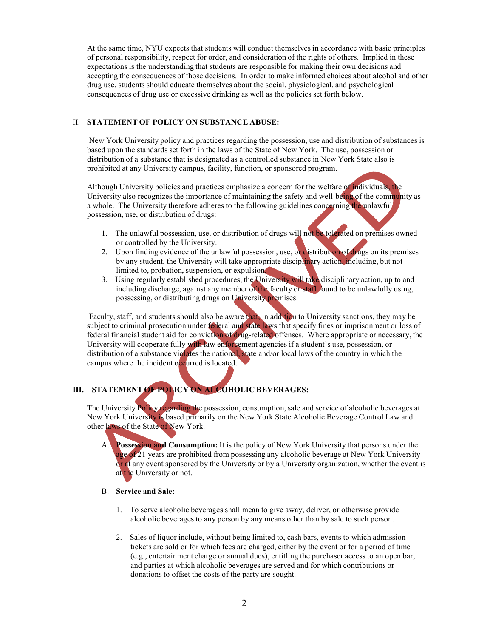At the same time, NYU expects that students will conduct themselves in accordance with basic principles of personal responsibility, respect for order, and consideration of the rights of others. Implied in these expectations is the understanding that students are responsible for making their own decisions and accepting the consequences of those decisions. In order to make informed choices about alcohol and other drug use, students should educate themselves about the social, physiological, and psychological consequences of drug use or excessive drinking as well as the policies set forth below.

## II. **STATEMENT OF POLICY ON SUBSTANCE ABUSE:**

New York University policy and practices regarding the possession, use and distribution of substances is based upon the standards set forth in the laws of the State of New York. The use, possession or distribution of a substance that is designated as a controlled substance in New York State also is prohibited at any University campus, facility, function, or sponsored program.

Although University policies and practices emphasize a concern for the welfare of individuals, the University also recognizes the importance of maintaining the safety and well-being of the community as a whole. The University therefore adheres to the following guidelines concerning the unlawful possession, use, or distribution of drugs:

- 1. The unlawful possession, use, or distribution of drugs will not be tolerated on premises owned or controlled by the University.
- 2. Upon finding evidence of the unlawful possession, use, or distribution of drugs on its premises by any student, the University will take appropriate disciplinary action, including, but not limited to, probation, suspension, or expulsion.
- 3. Using regularly established procedures, the University will take disciplinary action, up to and including discharge, against any member of the faculty or staff found to be unlawfully using, possessing, or distributing drugs on University premises.

Faculty, staff, and students should also be aware that, in addition to University sanctions, they may be subject to criminal prosecution under federal and state laws that specify fines or imprisonment or loss of federal financial student aid for conviction of drug-related offenses. Where appropriate or necessary, the University will cooperate fully with law enforcement agencies if a student's use, possession, or distribution of a substance violates the national, state and/or local laws of the country in which the campus where the incident occurred is located.

## **III. STATEMENT OF POLICY ON ALCOHOLIC BEVERAGES:**

The University Policy regarding the possession, consumption, sale and service of alcoholic beverages at New York University is based primarily on the New York State Alcoholic Beverage Control Law and other laws of the State of New York.

- A. **Possession and Consumption:** It is the policy of New York University that persons under the age of  $21$  years are prohibited from possessing any alcoholic beverage at New York University or at any event sponsored by the University or by a University organization, whether the event is at the University or not.
- B. **Service and Sale:**
	- 1. To serve alcoholic beverages shall mean to give away, deliver, or otherwise provide alcoholic beverages to any person by any means other than by sale to such person.
	- 2. Sales of liquor include, without being limited to, cash bars, events to which admission tickets are sold or for which fees are charged, either by the event or for a period of time (e.g., entertainment charge or annual dues), entitling the purchaser access to an open bar, and parties at which alcoholic beverages are served and for which contributions or donations to offset the costs of the party are sought.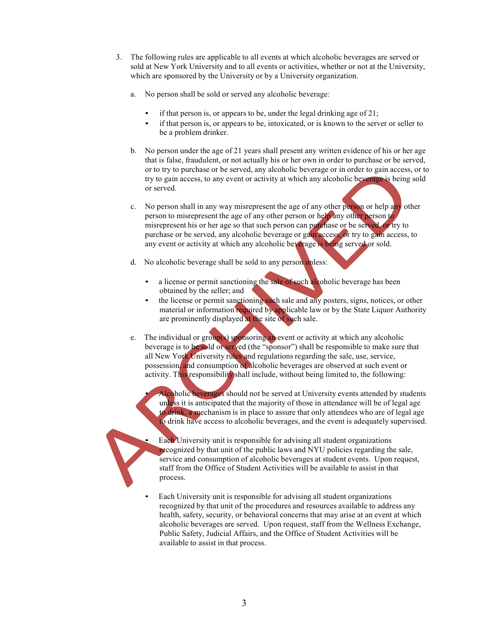- 3. The following rules are applicable to all events at which alcoholic beverages are served or sold at New York University and to all events or activities, whether or not at the University, which are sponsored by the University or by a University organization.
	- a. No person shall be sold or served any alcoholic beverage:
		- if that person is, or appears to be, under the legal drinking age of  $21$ ;
		- if that person is, or appears to be, intoxicated, or is known to the server or seller to be a problem drinker.
	- b. No person under the age of 21 years shall present any written evidence of his or her age that is false, fraudulent, or not actually his or her own in order to purchase or be served, or to try to purchase or be served, any alcoholic beverage or in order to gain access, or to try to gain access, to any event or activity at which any alcoholic beverage is being sold or served.
	- c. No person shall in any way misrepresent the age of any other person or help any other person to misrepresent the age of any other person or help any other person to misrepresent his or her age so that such person can purchase or be served, or try to purchase or be served, any alcoholic beverage or gain access, or try to gain access, to any event or activity at which any alcoholic beverage is being served or sold.
	- d. No alcoholic beverage shall be sold to any person unless:
		- a license or permit sanctioning the sale of such alcoholic beverage has been obtained by the seller; and
		- the license or permit sanctioning such sale and any posters, signs, notices, or other material or information required by applicable law or by the State Liquor Authority are prominently displayed at the site of such sale.
	- e. The individual or group(s) sponsoring an event or activity at which any alcoholic beverage is to be sold or served (the "sponsor") shall be responsible to make sure that all New York University rules and regulations regarding the sale, use, service, possession, and consumption of alcoholic beverages are observed at such event or activity. This responsibility shall include, without being limited to, the following:

Alcoholic beverages should not be served at University events attended by students unless it is anticipated that the majority of those in attendance will be of legal age to drink, a mechanism is in place to assure that only attendees who are of legal age to drink have access to alcoholic beverages, and the event is adequately supervised.

- Each University unit is responsible for advising all student organizations recognized by that unit of the public laws and NYU policies regarding the sale, service and consumption of alcoholic beverages at student events. Upon request, staff from the Office of Student Activities will be available to assist in that process.
- Each University unit is responsible for advising all student organizations recognized by that unit of the procedures and resources available to address any health, safety, security, or behavioral concerns that may arise at an event at which alcoholic beverages are served. Upon request, staff from the Wellness Exchange, Public Safety, Judicial Affairs, and the Office of Student Activities will be available to assist in that process.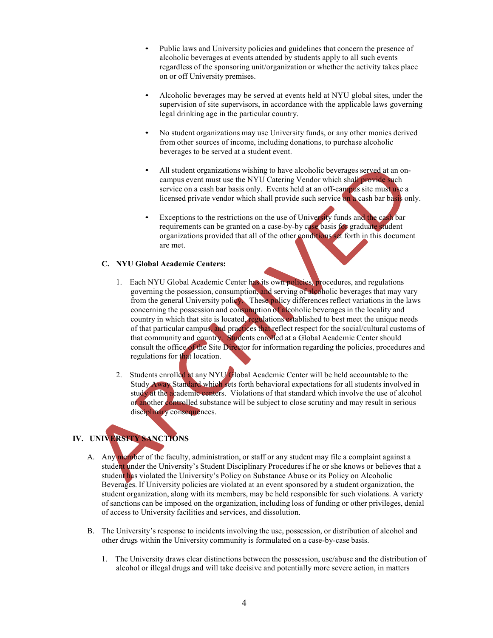- Public laws and University policies and guidelines that concern the presence of alcoholic beverages at events attended by students apply to all such events regardless of the sponsoring unit/organization or whether the activity takes place on or off University premises.
- Alcoholic beverages may be served at events held at NYU global sites, under the supervision of site supervisors, in accordance with the applicable laws governing legal drinking age in the particular country.
- No student organizations may use University funds, or any other monies derived from other sources of income, including donations, to purchase alcoholic beverages to be served at a student event.
- All student organizations wishing to have alcoholic beverages served at an oncampus event must use the NYU Catering Vendor which shall provide such service on a cash bar basis only. Events held at an off-campus site must use a licensed private vendor which shall provide such service on a cash bar basis only.
- Exceptions to the restrictions on the use of University funds and the cash bar requirements can be granted on a case-by-by case basis for graduate student organizations provided that all of the other conditions set forth in this document are met.

## **C. NYU Global Academic Centers:**

- 1. Each NYU Global Academic Center has its own policies, procedures, and regulations governing the possession, consumption, and serving of alcoholic beverages that may vary from the general University policy. These policy differences reflect variations in the laws concerning the possession and consumption of alcoholic beverages in the locality and country in which that site is located, regulations established to best meet the unique needs of that particular campus, and practices that reflect respect for the social/cultural customs of that community and country. Students enrolled at a Global Academic Center should consult the office of the Site Director for information regarding the policies, procedures and regulations for that location.
- 2. Students enrolled at any NYU Global Academic Center will be held accountable to the Study Away Standard which sets forth behavioral expectations for all students involved in study at the academic centers. Violations of that standard which involve the use of alcohol or another controlled substance will be subject to close scrutiny and may result in serious disciplinary consequences.

## **IV. UNIVERSITY SANCTIONS**

- A. Any member of the faculty, administration, or staff or any student may file a complaint against a student under the University's Student Disciplinary Procedures if he or she knows or believes that a student has violated the University's Policy on Substance Abuse or its Policy on Alcoholic Beverages. If University policies are violated at an event sponsored by a student organization, the student organization, along with its members, may be held responsible for such violations. A variety of sanctions can be imposed on the organization, including loss of funding or other privileges, denial of access to University facilities and services, and dissolution.
- B. The University's response to incidents involving the use, possession, or distribution of alcohol and other drugs within the University community is formulated on a case-by-case basis.
	- 1. The University draws clear distinctions between the possession, use/abuse and the distribution of alcohol or illegal drugs and will take decisive and potentially more severe action, in matters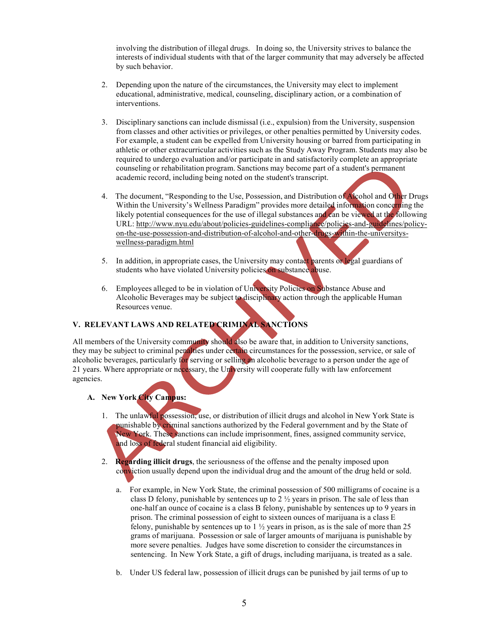involving the distribution of illegal drugs. In doing so, the University strives to balance the interests of individual students with that of the larger community that may adversely be affected by such behavior.

- 2. Depending upon the nature of the circumstances, the University may elect to implement educational, administrative, medical, counseling, disciplinary action, or a combination of interventions.
- 3. Disciplinary sanctions can include dismissal (i.e., expulsion) from the University, suspension from classes and other activities or privileges, or other penalties permitted by University codes. For example, a student can be expelled from University housing or barred from participating in athletic or other extracurricular activities such as the Study Away Program. Students may also be required to undergo evaluation and/or participate in and satisfactorily complete an appropriate counseling or rehabilitation program. Sanctions may become part of a student's permanent academic record, including being noted on the student's transcript.
- 4. The document, "Responding to the Use, Possession, and Distribution of Alcohol and Other Drugs Within the University's Wellness Paradigm" provides more detailed information concerning the likely potential consequences for the use of illegal substances and can be viewed at the following URL: http://www.nyu.edu/about/policies-guidelines-compliance/policies-and-guidelines/policyon-the-use-possession-and-distribution-of-alcohol-and-other-drugs-within-the-universityswellness-paradigm.html
- 5. In addition, in appropriate cases, the University may contact parents or legal guardians of students who have violated University policies on substance abuse.
- 6. Employees alleged to be in violation of University Policies on Substance Abuse and Alcoholic Beverages may be subject to disciplinary action through the applicable Human Resources venue.

## **V. RELEVANT LAWS AND RELATED CRIMINAL SANCTIONS**

All members of the University community should also be aware that, in addition to University sanctions, they may be subject to criminal penalties under certain circumstances for the possession, service, or sale of alcoholic beverages, particularly for serving or selling an alcoholic beverage to a person under the age of 21 years. Where appropriate or necessary, the University will cooperate fully with law enforcement agencies.

## **A. New York City Campus:**

- 1. The unlawful possession, use, or distribution of illicit drugs and alcohol in New York State is punishable by criminal sanctions authorized by the Federal government and by the State of New York. These sanctions can include imprisonment, fines, assigned community service, and loss of federal student financial aid eligibility.
- 2. **Regarding illicit drugs**, the seriousness of the offense and the penalty imposed upon conviction usually depend upon the individual drug and the amount of the drug held or sold.
	- a. For example, in New York State, the criminal possession of 500 milligrams of cocaine is a class D felony, punishable by sentences up to  $2\frac{1}{2}$  years in prison. The sale of less than one-half an ounce of cocaine is a class B felony, punishable by sentences up to 9 years in prison. The criminal possession of eight to sixteen ounces of marijuana is a class E felony, punishable by sentences up to  $1\frac{1}{2}$  years in prison, as is the sale of more than 25 grams of marijuana. Possession or sale of larger amounts of marijuana is punishable by more severe penalties. Judges have some discretion to consider the circumstances in sentencing. In New York State, a gift of drugs, including marijuana, is treated as a sale.
	- b. Under US federal law, possession of illicit drugs can be punished by jail terms of up to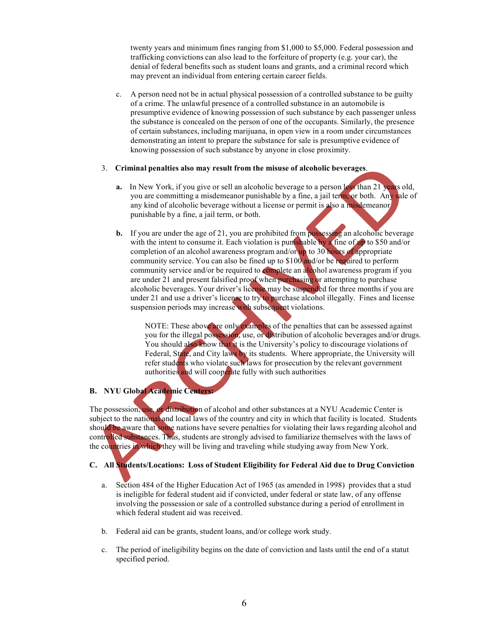twenty years and minimum fines ranging from \$1,000 to \$5,000. Federal possession and trafficking convictions can also lead to the forfeiture of property (e.g. your car), the denial of federal benefits such as student loans and grants, and a criminal record which may prevent an individual from entering certain career fields.

c. A person need not be in actual physical possession of a controlled substance to be guilty of a crime. The unlawful presence of a controlled substance in an automobile is presumptive evidence of knowing possession of such substance by each passenger unless the substance is concealed on the person of one of the occupants. Similarly, the presence of certain substances, including marijuana, in open view in a room under circumstances demonstrating an intent to prepare the substance for sale is presumptive evidence of knowing possession of such substance by anyone in close proximity.

#### 3. **Criminal penalties also may result from the misuse of alcoholic beverages**.

- **a.** In New York, if you give or sell an alcoholic beverage to a person less than 21 years old, you are committing a misdemeanor punishable by a fine, a jail term, or both. Any sale of any kind of alcoholic beverage without a license or permit is also a misdemeanor punishable by a fine, a jail term, or both.
- **b.** If you are under the age of 21, you are prohibited from possessing an alcoholic beverage with the intent to consume it. Each violation is punishable by a fine of up to \$50 and/or completion of an alcohol awareness program and/or up to 30 hours of appropriate community service. You can also be fined up to \$100 and/or be required to perform community service and/or be required to complete an alcohol awareness program if you are under 21 and present falsified proof when purchasing or attempting to purchase alcoholic beverages. Your driver's license may be suspended for three months if you are under 21 and use a driver's license to try to purchase alcohol illegally. Fines and license suspension periods may increase with subsequent violations.

NOTE: These above are only examples of the penalties that can be assessed against you for the illegal possession, use, or distribution of alcoholic beverages and/or drugs. You should also know that it is the University's policy to discourage violations of Federal, State, and City laws by its students. Where appropriate, the University will refer students who violate such laws for prosecution by the relevant government authorities and will cooperate fully with such authorities

## **B. NYU Global Academic Centers:**

The possession, use, or distribution of alcohol and other substances at a NYU Academic Center is subject to the national and local laws of the country and city in which that facility is located. Students should be aware that some nations have severe penalties for violating their laws regarding alcohol and controlled substances. Thus, students are strongly advised to familiarize themselves with the laws of the countries in which they will be living and traveling while studying away from New York.

# **C. All Students/Locations: Loss of Student Eligibility for Federal Aid due to Drug Conviction**

- a. Section 484 of the Higher Education Act of 1965 (as amended in 1998) provides that a stud is ineligible for federal student aid if convicted, under federal or state law, of any offense involving the possession or sale of a controlled substance during a period of enrollment in which federal student aid was received.
- b. Federal aid can be grants, student loans, and/or college work study.
- c. The period of ineligibility begins on the date of conviction and lasts until the end of a statut specified period.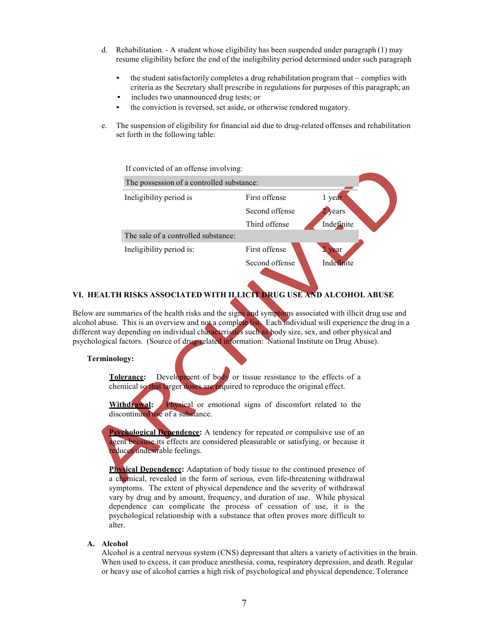- d. Rehabilitation. A student whose eligibility has been suspended under paragraph (1) may resume eligibility before the end of the ineligibility period determined under such paragraph
	- the student satisfactorily completes a drug rehabilitation program that complies with criteria as the Secretary shall prescribe in regulations for purposes of this paragraph; an
	- includes two unannounced drug tests; or
	- the conviction is reversed, set aside, or otherwise rendered nugatory.
- e. The suspension of eligibility for financial aid due to drug-related offenses and rehabilitation set forth in the following table:

If convicted of an offense involving:



## **VI. HEALTH RISKS ASSOCIATED WITH ILLICIT DRUG USE AND ALCOHOL ABUSE**

Below are summaries of the health risks and the signs and symptoms associated with illicit drug use and alcohol abuse. This is an overview and not a complete list. Each individual will experience the drug in a different way depending on individual characteristics such as body size, sex, and other physical and psychological factors. (Source of drug-related information: National Institute on Drug Abuse).

#### **Terminology:**

**Tolerance:** Development of body or tissue resistance to the effects of a chemical so that larger doses are required to reproduce the original effect.

**Withdrawal:** Physical or emotional signs of discomfort related to the discontinued use of a substance.

**Psychological Dependence:** A tendency for repeated or compulsive use of an agent because its effects are considered pleasurable or satisfying, or because it reduces undesirable feelings.

**Physical Dependence:** Adaptation of body tissue to the continued presence of a chemical, revealed in the form of serious, even life-threatening withdrawal symptoms. The extent of physical dependence and the severity of withdrawal vary by drug and by amount, frequency, and duration of use. While physical dependence can complicate the process of cessation of use, it is the psychological relationship with a substance that often proves more difficult to alter.

#### **A. Alcohol**

Alcohol is a central nervous system (CNS) depressant that alters a variety of activities in the brain. When used to excess, it can produce anesthesia, coma, respiratory depression, and death. Regular or heavy use of alcohol carries a high risk of psychological and physical dependence. Tolerance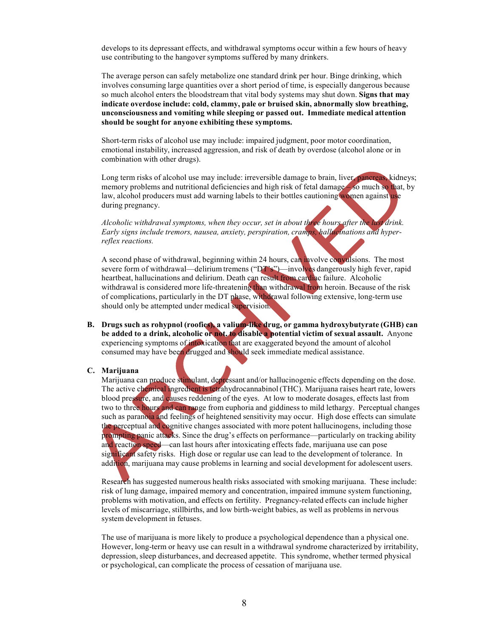develops to its depressant effects, and withdrawal symptoms occur within a few hours of heavy use contributing to the hangover symptoms suffered by many drinkers.

The average person can safely metabolize one standard drink per hour. Binge drinking, which involves consuming large quantities over a short period of time, is especially dangerous because so much alcohol enters the bloodstream that vital body systems may shut down. **Signs that may indicate overdose include: cold, clammy, pale or bruised skin, abnormally slow breathing, unconsciousness and vomiting while sleeping or passed out. Immediate medical attention should be sought for anyone exhibiting these symptoms.**

Short-term risks of alcohol use may include: impaired judgment, poor motor coordination, emotional instability, increased aggression, and risk of death by overdose (alcohol alone or in combination with other drugs).

Long term risks of alcohol use may include: irreversible damage to brain, liver, pancreas, kidneys; memory problems and nutritional deficiencies and high risk of fetal damage – so much so that, by law, alcohol producers must add warning labels to their bottles cautioning women against use during pregnancy.

*Alcoholic withdrawal symptoms, when they occur, set in about three hours after the last drink. Early signs include tremors, nausea, anxiety, perspiration, cramps, hallucinations and hyperreflex reactions.*

A second phase of withdrawal, beginning within 24 hours, can involve convulsions. The most severe form of withdrawal—delirium tremens ("DT's")—involves dangerously high fever, rapid heartbeat, hallucinations and delirium. Death can result from cardiac failure. Alcoholic withdrawal is considered more life-threatening than withdrawal from heroin. Because of the risk of complications, particularly in the DT phase, withdrawal following extensive, long-term use should only be attempted under medical supervision.

**B. Drugs such as rohypnol (roofies), a valium-like drug, or gamma hydroxybutyrate (GHB) can be added to a drink, alcoholic or not, to disable a potential victim of sexual assault.** Anyone experiencing symptoms of intoxication that are exaggerated beyond the amount of alcohol consumed may have been drugged and should seek immediate medical assistance.

## **C. Marijuana**

Marijuana can produce stimulant, depressant and/or hallucinogenic effects depending on the dose. The active chemical ingredient is tetrahydrocannabinol (THC). Marijuana raises heart rate, lowers blood pressure, and causes reddening of the eyes. At low to moderate dosages, effects last from two to three hours and can range from euphoria and giddiness to mild lethargy. Perceptual changes such as paranoia and feelings of heightened sensitivity may occur. High dose effects can simulate the perceptual and cognitive changes associated with more potent hallucinogens, including those prompting panic attacks. Since the drug's effects on performance—particularly on tracking ability and reaction speed—can last hours after intoxicating effects fade, marijuana use can pose significant safety risks. High dose or regular use can lead to the development of tolerance. In addition, marijuana may cause problems in learning and social development for adolescent users.

Research has suggested numerous health risks associated with smoking marijuana. These include: risk of lung damage, impaired memory and concentration, impaired immune system functioning, problems with motivation, and effects on fertility. Pregnancy-related effects can include higher levels of miscarriage, stillbirths, and low birth-weight babies, as well as problems in nervous system development in fetuses.

The use of marijuana is more likely to produce a psychological dependence than a physical one. However, long-term or heavy use can result in a withdrawal syndrome characterized by irritability, depression, sleep disturbances, and decreased appetite. This syndrome, whether termed physical or psychological, can complicate the process of cessation of marijuana use.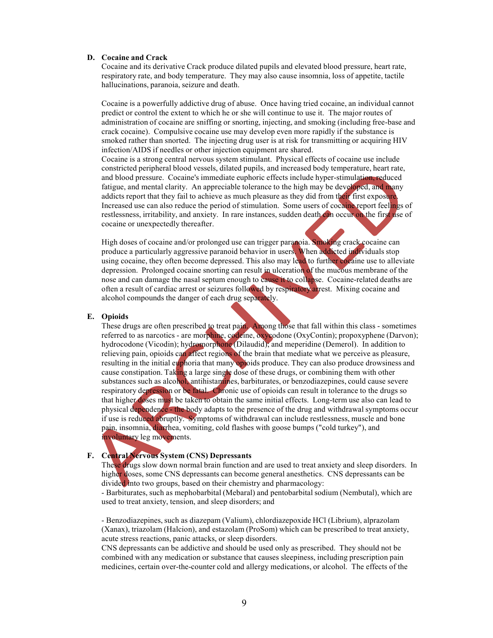#### **D. Cocaine and Crack**

Cocaine and its derivative Crack produce dilated pupils and elevated blood pressure, heart rate, respiratory rate, and body temperature. They may also cause insomnia, loss of appetite, tactile hallucinations, paranoia, seizure and death.

Cocaine is a powerfully addictive drug of abuse. Once having tried cocaine, an individual cannot predict or control the extent to which he or she will continue to use it. The major routes of administration of cocaine are sniffing or snorting, injecting, and smoking (including free-base and crack cocaine). Compulsive cocaine use may develop even more rapidly if the substance is smoked rather than snorted. The injecting drug user is at risk for transmitting or acquiring HIV infection/AIDS if needles or other injection equipment are shared. Cocaine is a strong central nervous system stimulant. Physical effects of cocaine use include constricted peripheral blood vessels, dilated pupils, and increased body temperature, heart rate, and blood pressure. Cocaine's immediate euphoric effects include hyper-stimulation, reduced fatigue, and mental clarity. An appreciable tolerance to the high may be developed, and many addicts report that they fail to achieve as much pleasure as they did from their first exposure. Increased use can also reduce the period of stimulation. Some users of cocaine report feelings of restlessness, irritability, and anxiety. In rare instances, sudden death can occur on the first use of cocaine or unexpectedly thereafter.

High doses of cocaine and/or prolonged use can trigger paranoia. Smoking crack cocaine can produce a particularly aggressive paranoid behavior in users. When addicted individuals stop using cocaine, they often become depressed. This also may lead to further cogaine use to alleviate depression. Prolonged cocaine snorting can result in ulceration of the mucous membrane of the nose and can damage the nasal septum enough to cause it to collapse. Cocaine-related deaths are often a result of cardiac arrest or seizures followed by respiratory arrest. Mixing cocaine and alcohol compounds the danger of each drug separately.

#### **E. Opioids**

These drugs are often prescribed to treat pain. Among those that fall within this class - sometimes referred to as narcotics - are morphine, codeine, oxycodone (OxyContin); propoxyphene (Darvon); hydrocodone (Vicodin); hydromorphone (Dilaudid); and meperidine (Demerol). In addition to relieving pain, opioids can affect regions of the brain that mediate what we perceive as pleasure, resulting in the initial euphoria that many opioids produce. They can also produce drowsiness and cause constipation. Taking a large single dose of these drugs, or combining them with other substances such as alcohol, antihistamines, barbiturates, or benzodiazepines, could cause severe respiratory depression or be fatal. Chronic use of opioids can result in tolerance to the drugs so that higher doses must be taken to obtain the same initial effects. Long-term use also can lead to physical dependence - the body adapts to the presence of the drug and withdrawal symptoms occur if use is reduced abruptly. Symptoms of withdrawal can include restlessness, muscle and bone pain, insomnia, diarrhea, vomiting, cold flashes with goose bumps ("cold turkey"), and involuntary leg movements.

#### **F. Central Nervous System (CNS) Depressants**

These drugs slow down normal brain function and are used to treat anxiety and sleep disorders. In higher doses, some CNS depressants can become general anesthetics. CNS depressants can be divided into two groups, based on their chemistry and pharmacology:

- Barbiturates, such as mephobarbital (Mebaral) and pentobarbital sodium (Nembutal), which are used to treat anxiety, tension, and sleep disorders; and

- Benzodiazepines, such as diazepam (Valium), chlordiazepoxide HCl (Librium), alprazolam (Xanax), triazolam (Halcion), and estazolam (ProSom) which can be prescribed to treat anxiety, acute stress reactions, panic attacks, or sleep disorders.

CNS depressants can be addictive and should be used only as prescribed. They should not be combined with any medication or substance that causes sleepiness, including prescription pain medicines, certain over-the-counter cold and allergy medications, or alcohol. The effects of the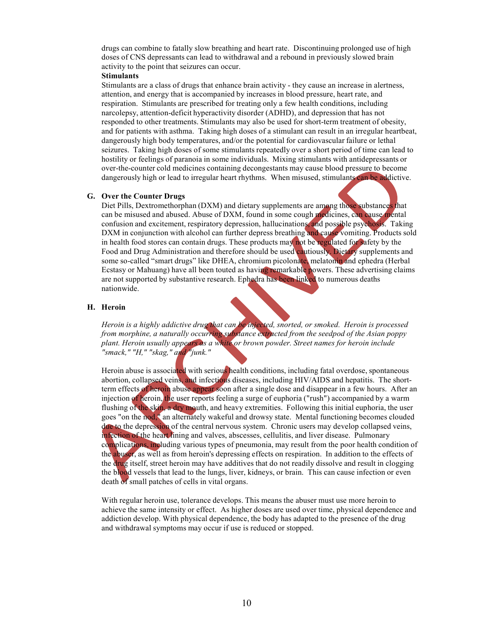drugs can combine to fatally slow breathing and heart rate. Discontinuing prolonged use of high doses of CNS depressants can lead to withdrawal and a rebound in previously slowed brain activity to the point that seizures can occur.

#### **Stimulants**

Stimulants are a class of drugs that enhance brain activity - they cause an increase in alertness, attention, and energy that is accompanied by increases in blood pressure, heart rate, and respiration. Stimulants are prescribed for treating only a few health conditions, including narcolepsy, attention-deficit hyperactivity disorder (ADHD), and depression that has not responded to other treatments. Stimulants may also be used for short-term treatment of obesity, and for patients with asthma. Taking high doses of a stimulant can result in an irregular heartbeat, dangerously high body temperatures, and/or the potential for cardiovascular failure or lethal seizures. Taking high doses of some stimulants repeatedly over a short period of time can lead to hostility or feelings of paranoia in some individuals. Mixing stimulants with antidepressants or over-the-counter cold medicines containing decongestants may cause blood pressure to become dangerously high or lead to irregular heart rhythms. When misused, stimulants can be addictive.

#### **G. Over the Counter Drugs**

Diet Pills, Dextromethorphan (DXM) and dietary supplements are among those substances that can be misused and abused. Abuse of DXM, found in some cough medicines, can cause mental confusion and excitement, respiratory depression, hallucinations, and possible psychosis. Taking DXM in conjunction with alcohol can further depress breathing and cause vomiting. Products sold in health food stores can contain drugs. These products may not be regulated for safety by the Food and Drug Administration and therefore should be used cautiously. Dietary supplements and some so-called "smart drugs" like DHEA, chromium picolonate, melatonin and ephedra (Herbal Ecstasy or Mahuang) have all been touted as having remarkable powers. These advertising claims are not supported by substantive research. Ephedra has been linked to numerous deaths nationwide.

#### **H. Heroin**

*Heroin is a highly addictive drug that can be injected, snorted, or smoked. Heroin is processed from morphine, a naturally occurring substance extracted from the seedpod of the Asian poppy plant. Heroin usually appears as a white or brown powder. Street names for heroin include "smack," "H," "skag," and "junk."*

Heroin abuse is associated with serious health conditions, including fatal overdose, spontaneous abortion, collapsed veins, and infectious diseases, including HIV/AIDS and hepatitis. The shortterm effects of heroin abuse appear soon after a single dose and disappear in a few hours. After an injection of heroin, the user reports feeling a surge of euphoria ("rush") accompanied by a warm flushing of the skin, a dry mouth, and heavy extremities. Following this initial euphoria, the user goes "on the nod," an alternately wakeful and drowsy state. Mental functioning becomes clouded due to the depression of the central nervous system. Chronic users may develop collapsed veins, infection of the heart lining and valves, abscesses, cellulitis, and liver disease. Pulmonary complications, including various types of pneumonia, may result from the poor health condition of the abuser, as well as from heroin's depressing effects on respiration. In addition to the effects of the drug itself, street heroin may have additives that do not readily dissolve and result in clogging the blood vessels that lead to the lungs, liver, kidneys, or brain. This can cause infection or even death of small patches of cells in vital organs.

With regular heroin use, tolerance develops. This means the abuser must use more heroin to achieve the same intensity or effect. As higher doses are used over time, physical dependence and addiction develop. With physical dependence, the body has adapted to the presence of the drug and withdrawal symptoms may occur if use is reduced or stopped.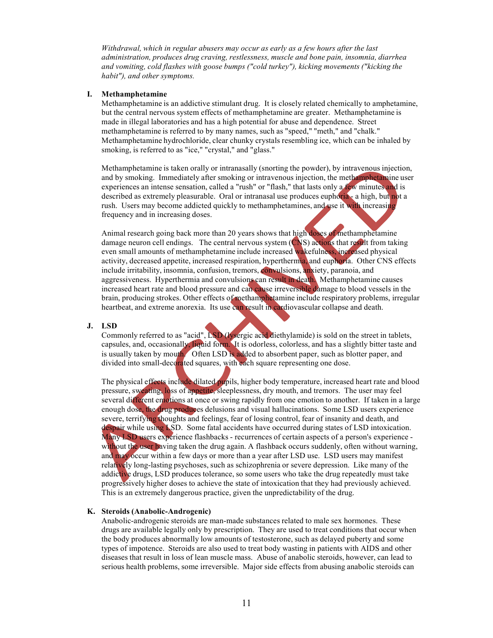*Withdrawal, which in regular abusers may occur as early as a few hours after the last administration, produces drug craving, restlessness, muscle and bone pain, insomnia, diarrhea and vomiting, cold flashes with goose bumps ("cold turkey"), kicking movements ("kicking the habit"), and other symptoms.*

#### **I. Methamphetamine**

Methamphetamine is an addictive stimulant drug. It is closely related chemically to amphetamine, but the central nervous system effects of methamphetamine are greater. Methamphetamine is made in illegal laboratories and has a high potential for abuse and dependence. Street methamphetamine is referred to by many names, such as "speed," "meth," and "chalk." Methamphetamine hydrochloride, clear chunky crystals resembling ice, which can be inhaled by smoking, is referred to as "ice," "crystal," and "glass."

Methamphetamine is taken orally or intranasally (snorting the powder), by intravenous injection, and by smoking. Immediately after smoking or intravenous injection, the methamphetamine user experiences an intense sensation, called a "rush" or "flash," that lasts only a few minutes and is described as extremely pleasurable. Oral or intranasal use produces euphoria - a high, but not a rush. Users may become addicted quickly to methamphetamines, and use it with increasing frequency and in increasing doses.

Animal research going back more than 20 years shows that high doses of methamphetamine damage neuron cell endings. The central nervous system  $(CNS)$  actions that result from taking even small amounts of methamphetamine include increased wakefulness, increased physical activity, decreased appetite, increased respiration, hyperthermia, and euphoria. Other CNS effects include irritability, insomnia, confusion, tremors, convulsions, anxiety, paranoia, and aggressiveness. Hyperthermia and convulsions can result in death. Methamphetamine causes increased heart rate and blood pressure and can cause irreversible damage to blood vessels in the brain, producing strokes. Other effects of methamphetamine include respiratory problems, irregular heartbeat, and extreme anorexia. Its use can result in cardiovascular collapse and death.

#### **J. LSD**

Commonly referred to as "acid", LSD (lysergic acid diethylamide) is sold on the street in tablets, capsules, and, occasionally, liquid form. It is odorless, colorless, and has a slightly bitter taste and is usually taken by mouth. Often LSD is added to absorbent paper, such as blotter paper, and divided into small-decorated squares, with each square representing one dose.

The physical effects include dilated pupils, higher body temperature, increased heart rate and blood pressure, sweating, loss of appetite, sleeplessness, dry mouth, and tremors. The user may feel several different emotions at once or swing rapidly from one emotion to another. If taken in a large enough dose, the drug produces delusions and visual hallucinations. Some LSD users experience severe, terrifying thoughts and feelings, fear of losing control, fear of insanity and death, and despair while using LSD. Some fatal accidents have occurred during states of LSD intoxication. Many LSD users experience flashbacks - recurrences of certain aspects of a person's experience without the user having taken the drug again. A flashback occurs suddenly, often without warning, and may occur within a few days or more than a year after LSD use. LSD users may manifest relatively long-lasting psychoses, such as schizophrenia or severe depression. Like many of the addictive drugs, LSD produces tolerance, so some users who take the drug repeatedly must take progressively higher doses to achieve the state of intoxication that they had previously achieved. This is an extremely dangerous practice, given the unpredictability of the drug.

#### **K. Steroids (Anabolic-Androgenic)**

Anabolic-androgenic steroids are man-made substances related to male sex hormones. These drugs are available legally only by prescription. They are used to treat conditions that occur when the body produces abnormally low amounts of testosterone, such as delayed puberty and some types of impotence. Steroids are also used to treat body wasting in patients with AIDS and other diseases that result in loss of lean muscle mass. Abuse of anabolic steroids, however, can lead to serious health problems, some irreversible. Major side effects from abusing anabolic steroids can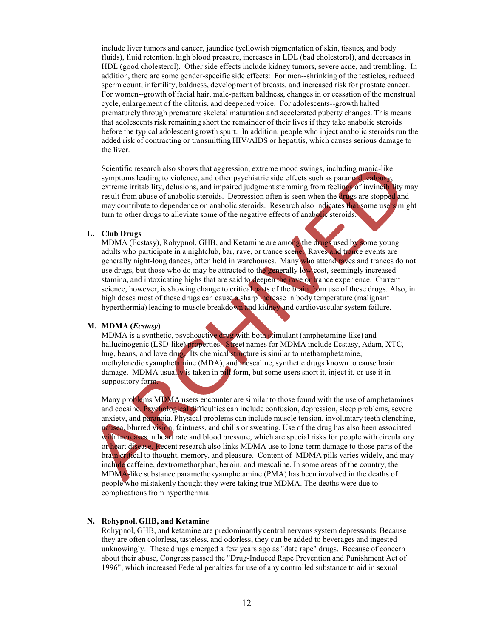include liver tumors and cancer, jaundice (yellowish pigmentation of skin, tissues, and body fluids), fluid retention, high blood pressure, increases in LDL (bad cholesterol), and decreases in HDL (good cholesterol). Other side effects include kidney tumors, severe acne, and trembling. In addition, there are some gender-specific side effects: For men--shrinking of the testicles, reduced sperm count, infertility, baldness, development of breasts, and increased risk for prostate cancer. For women--growth of facial hair, male-pattern baldness, changes in or cessation of the menstrual cycle, enlargement of the clitoris, and deepened voice. For adolescents--growth halted prematurely through premature skeletal maturation and accelerated puberty changes. This means that adolescents risk remaining short the remainder of their lives if they take anabolic steroids before the typical adolescent growth spurt. In addition, people who inject anabolic steroids run the added risk of contracting or transmitting HIV/AIDS or hepatitis, which causes serious damage to the liver.

Scientific research also shows that aggression, extreme mood swings, including manic-like symptoms leading to violence, and other psychiatric side effects such as paranoid jealousy, extreme irritability, delusions, and impaired judgment stemming from feelings of invincibility may result from abuse of anabolic steroids. Depression often is seen when the drugs are stopped and may contribute to dependence on anabolic steroids. Research also indicates that some users might turn to other drugs to alleviate some of the negative effects of anabolic steroids.

#### **L. Club Drugs**

MDMA (Ecstasy), Rohypnol, GHB, and Ketamine are among the drugs used by some young adults who participate in a nightclub, bar, rave, or trance scene. Raves and trance events are generally night-long dances, often held in warehouses. Many who attend raves and trances do not use drugs, but those who do may be attracted to the generally low cost, seemingly increased stamina, and intoxicating highs that are said to deepen the rave or trance experience. Current science, however, is showing change to critical parts of the brain from use of these drugs. Also, in high doses most of these drugs can cause a sharp increase in body temperature (malignant hyperthermia) leading to muscle breakdown and kidney and cardiovascular system failure.

#### **M. MDMA (***Ecstasy***)**

MDMA is a synthetic, psychoactive drug with both stimulant (amphetamine-like) and hallucinogenic (LSD-like) properties. Street names for MDMA include Ecstasy, Adam, XTC. hug, beans, and love drug. Its chemical structure is similar to methamphetamine, methylenedioxyamphetamine (MDA), and mescaline, synthetic drugs known to cause brain damage. MDMA usually is taken in pill form, but some users snort it, inject it, or use it in suppository form.

Many problems MDMA users encounter are similar to those found with the use of amphetamines and cocaine. Psychological difficulties can include confusion, depression, sleep problems, severe anxiety, and paranoia. Physical problems can include muscle tension, involuntary teeth clenching, nausea, blurred vision, faintness, and chills or sweating. Use of the drug has also been associated with increases in heart rate and blood pressure, which are special risks for people with circulatory or heart disease. Recent research also links MDMA use to long-term damage to those parts of the brain critical to thought, memory, and pleasure. Content of MDMA pills varies widely, and may include caffeine, dextromethorphan, heroin, and mescaline. In some areas of the country, the MDMA-like substance paramethoxyamphetamine (PMA) has been involved in the deaths of people who mistakenly thought they were taking true MDMA. The deaths were due to complications from hyperthermia.

#### **N. Rohypnol, GHB, and Ketamine**

Rohypnol, GHB, and ketamine are predominantly central nervous system depressants. Because they are often colorless, tasteless, and odorless, they can be added to beverages and ingested unknowingly. These drugs emerged a few years ago as "date rape" drugs. Because of concern about their abuse, Congress passed the "Drug-Induced Rape Prevention and Punishment Act of 1996", which increased Federal penalties for use of any controlled substance to aid in sexual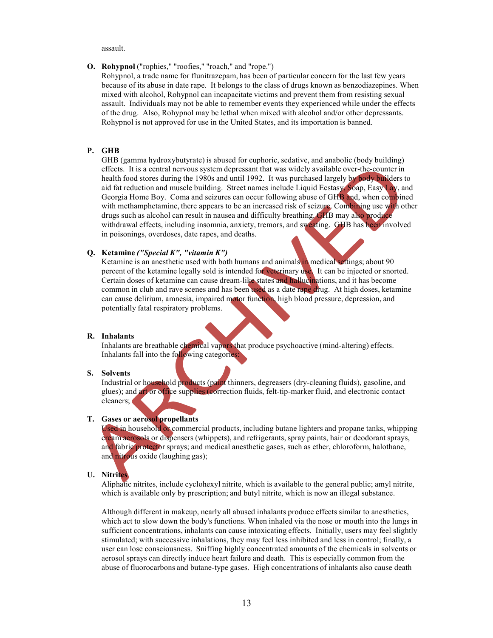assault.

**O. Rohypnol** ("rophies," "roofies," "roach," and "rope.")

Rohypnol, a trade name for flunitrazepam, has been of particular concern for the last few years because of its abuse in date rape. It belongs to the class of drugs known as benzodiazepines. When mixed with alcohol, Rohypnol can incapacitate victims and prevent them from resisting sexual assault. Individuals may not be able to remember events they experienced while under the effects of the drug. Also, Rohypnol may be lethal when mixed with alcohol and/or other depressants. Rohypnol is not approved for use in the United States, and its importation is banned.

## **P. GHB**

GHB (gamma hydroxybutyrate) is abused for euphoric, sedative, and anabolic (body building) effects. It is a central nervous system depressant that was widely available over-the-counter in health food stores during the 1980s and until 1992. It was purchased largely by body builders to aid fat reduction and muscle building. Street names include Liquid Ecstasy, Soap, Easy Lay, and Georgia Home Boy. Coma and seizures can occur following abuse of GHB and, when combined with methamphetamine, there appears to be an increased risk of seizure. Combining use with other drugs such as alcohol can result in nausea and difficulty breathing. GHB may also produce withdrawal effects, including insomnia, anxiety, tremors, and sweating. GHB has been involved in poisonings, overdoses, date rapes, and deaths.

#### **Q. Ketamine** *("Special K", "vitamin K")*

Ketamine is an anesthetic used with both humans and animals in medical settings; about 90 percent of the ketamine legally sold is intended for veterinary use. It can be injected or snorted. Certain doses of ketamine can cause dream-like states and hallucinations, and it has become common in club and rave scenes and has been used as a date rape drug. At high doses, ketamine can cause delirium, amnesia, impaired motor function, high blood pressure, depression, and potentially fatal respiratory problems.

#### **R. Inhalants**

Inhalants are breathable chemical vapors that produce psychoactive (mind-altering) effects. Inhalants fall into the following categories:

#### **S. Solvents**

Industrial or household products (paint thinners, degreasers (dry-cleaning fluids), gasoline, and glues); and art or office supplies (correction fluids, felt-tip-marker fluid, and electronic contact cleaners;

#### **T. Gases or aerosol propellants**

Used in household or commercial products, including butane lighters and propane tanks, whipping cream aerosols or dispensers (whippets), and refrigerants, spray paints, hair or deodorant sprays, and fabric protector sprays; and medical anesthetic gases, such as ether, chloroform, halothane, and nitrous oxide (laughing gas);

#### **U. Nitrites**

Aliphatic nitrites, include cyclohexyl nitrite, which is available to the general public; amyl nitrite, which is available only by prescription; and butyl nitrite, which is now an illegal substance.

Although different in makeup, nearly all abused inhalants produce effects similar to anesthetics, which act to slow down the body's functions. When inhaled via the nose or mouth into the lungs in sufficient concentrations, inhalants can cause intoxicating effects. Initially, users may feel slightly stimulated; with successive inhalations, they may feel less inhibited and less in control; finally, a user can lose consciousness. Sniffing highly concentrated amounts of the chemicals in solvents or aerosol sprays can directly induce heart failure and death. This is especially common from the abuse of fluorocarbons and butane-type gases. High concentrations of inhalants also cause death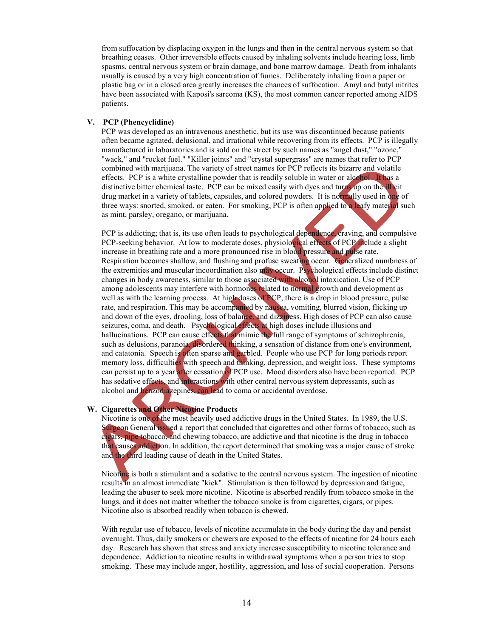from suffocation by displacing oxygen in the lungs and then in the central nervous system so that breathing ceases. Other irreversible effects caused by inhaling solvents include hearing loss, limb spasms, central nervous system or brain damage, and bone marrow damage. Death from inhalants usually is caused by a very high concentration of fumes. Deliberately inhaling from a paper or plastic bag or in a closed area greatly increases the chances of suffocation. Amyl and butyl nitrites have been associated with Kaposi's sarcoma (KS), the most common cancer reported among AIDS patients.

#### **V. PCP (Phencyclidine)**

PCP was developed as an intravenous anesthetic, but its use was discontinued because patients often became agitated, delusional, and irrational while recovering from its effects. PCP is illegally manufactured in laboratories and is sold on the street by such names as "angel dust," "ozone," "wack," and "rocket fuel." "Killer joints" and "crystal supergrass" are names that refer to PCP combined with marijuana. The variety of street names for PCP reflects its bizarre and volatile effects. PCP is a white crystalline powder that is readily soluble in water or alcohol. It has a distinctive bitter chemical taste. PCP can be mixed easily with dyes and turns up on the illicit drug market in a variety of tablets, capsules, and colored powders. It is normally used in one of three ways: snorted, smoked, or eaten. For smoking, PCP is often applied to a leafy material such as mint, parsley, oregano, or marijuana.

PCP is addicting; that is, its use often leads to psychological dependence, craving, and compulsive PCP-seeking behavior. At low to moderate doses, physiological effects of PCP include a slight increase in breathing rate and a more pronounced rise in blood pressure and pulse rate. Respiration becomes shallow, and flushing and profuse sweating occur. Generalized numbness of the extremities and muscular incoordination also may occur. Psychological effects include distinct changes in body awareness, similar to those associated with alcohol intoxication. Use of PCP among adolescents may interfere with hormones related to normal growth and development as well as with the learning process. At high doses of PCP, there is a drop in blood pressure, pulse rate, and respiration. This may be accompanied by nausea, vomiting, blurred vision, flicking up and down of the eyes, drooling, loss of balance, and dizziness. High doses of PCP can also cause seizures, coma, and death. Psychological effects at high doses include illusions and hallucinations. PCP can cause effects that mimic the full range of symptoms of schizophrenia, such as delusions, paranoia, disordered thinking, a sensation of distance from one's environment, and catatonia. Speech is often sparse and garbled. People who use PCP for long periods report memory loss, difficulties with speech and thinking, depression, and weight loss. These symptoms can persist up to a year after cessation of PCP use. Mood disorders also have been reported. PCP has sedative effects, and interactions with other central nervous system depressants, such as alcohol and benzodiazepines, can lead to coma or accidental overdose.

#### **W. Cigarettes and Other Nicotine Products**

Nicotine is one of the most heavily used addictive drugs in the United States. In 1989, the U.S. Surgeon General issued a report that concluded that cigarettes and other forms of tobacco, such as cigars, pipe tobacco, and chewing tobacco, are addictive and that nicotine is the drug in tobacco that causes addiction. In addition, the report determined that smoking was a major cause of stroke and the third leading cause of death in the United States.

Nicotine is both a stimulant and a sedative to the central nervous system. The ingestion of nicotine results in an almost immediate "kick". Stimulation is then followed by depression and fatigue, leading the abuser to seek more nicotine. Nicotine is absorbed readily from tobacco smoke in the lungs, and it does not matter whether the tobacco smoke is from cigarettes, cigars, or pipes. Nicotine also is absorbed readily when tobacco is chewed.

With regular use of tobacco, levels of nicotine accumulate in the body during the day and persist overnight. Thus, daily smokers or chewers are exposed to the effects of nicotine for 24 hours each day. Research has shown that stress and anxiety increase susceptibility to nicotine tolerance and dependence. Addiction to nicotine results in withdrawal symptoms when a person tries to stop smoking. These may include anger, hostility, aggression, and loss of social cooperation. Persons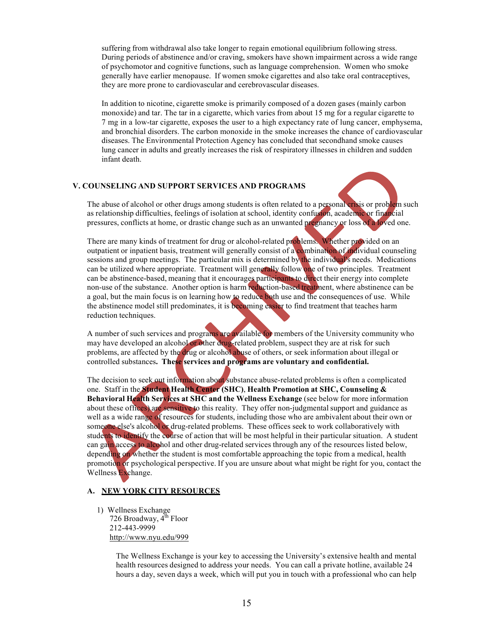suffering from withdrawal also take longer to regain emotional equilibrium following stress. During periods of abstinence and/or craving, smokers have shown impairment across a wide range of psychomotor and cognitive functions, such as language comprehension. Women who smoke generally have earlier menopause. If women smoke cigarettes and also take oral contraceptives, they are more prone to cardiovascular and cerebrovascular diseases.

In addition to nicotine, cigarette smoke is primarily composed of a dozen gases (mainly carbon monoxide) and tar. The tar in a cigarette, which varies from about 15 mg for a regular cigarette to 7 mg in a low-tar cigarette, exposes the user to a high expectancy rate of lung cancer, emphysema, and bronchial disorders. The carbon monoxide in the smoke increases the chance of cardiovascular diseases. The Environmental Protection Agency has concluded that secondhand smoke causes lung cancer in adults and greatly increases the risk of respiratory illnesses in children and sudden infant death.

#### **V. COUNSELING AND SUPPORT SERVICES AND PROGRAMS**

The abuse of alcohol or other drugs among students is often related to a personal crisis or problem such as relationship difficulties, feelings of isolation at school, identity confusion, academic or financial pressures, conflicts at home, or drastic change such as an unwanted pregnancy or loss of a loved one.

There are many kinds of treatment for drug or alcohol-related problems. Whether provided on an outpatient or inpatient basis, treatment will generally consist of a combination of individual counseling sessions and group meetings. The particular mix is determined by the individual's needs. Medications can be utilized where appropriate. Treatment will generally follow one of two principles. Treatment can be abstinence-based, meaning that it encourages participants to direct their energy into complete non-use of the substance. Another option is harm reduction-based treatment, where abstinence can be a goal, but the main focus is on learning how to reduce both use and the consequences of use. While the abstinence model still predominates, it is becoming easier to find treatment that teaches harm reduction techniques.

A number of such services and programs are available for members of the University community who may have developed an alcohol or other drug-related problem, suspect they are at risk for such problems, are affected by the drug or alcohol abuse of others, or seek information about illegal or controlled substances**. These services and programs are voluntary and confidential.**

The decision to seek out information about substance abuse-related problems is often a complicated one. Staff in the **Student Health Center (SHC)**, **Health Promotion at SHC, Counseling & Behavioral Health Services at SHC and the Wellness Exchange** (see below for more information about these offices) are sensitive to this reality. They offer non-judgmental support and guidance as well as a wide range of resources for students, including those who are ambivalent about their own or someone else's alcohol or drug-related problems. These offices seek to work collaboratively with students to identify the course of action that will be most helpful in their particular situation. A student can gain access to alcohol and other drug-related services through any of the resources listed below, depending on whether the student is most comfortable approaching the topic from a medical, health promotion or psychological perspective. If you are unsure about what might be right for you, contact the Wellness Exchange.

#### **A. NEW YORK CITY RESOURCES**

1) Wellness Exchange 726 Broadway,  $4^{\text{th}}$  Floor 212-443-9999 http://www.nyu.edu/999

> The Wellness Exchange is your key to accessing the University's extensive health and mental health resources designed to address your needs. You can call a private hotline, available 24 hours a day, seven days a week, which will put you in touch with a professional who can help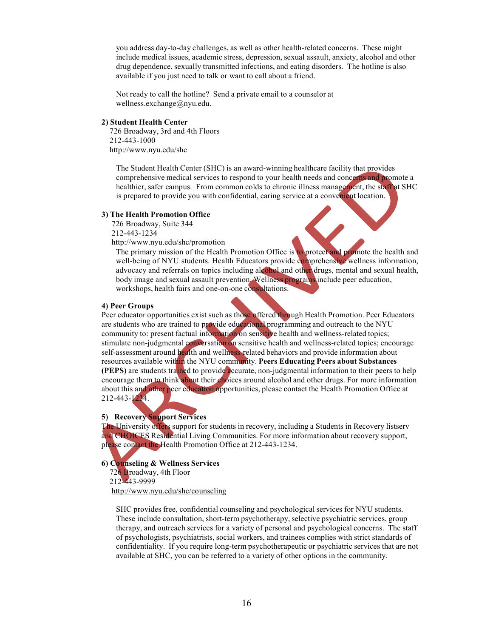you address day-to-day challenges, as well as other health-related concerns. These might include medical issues, academic stress, depression, sexual assault, anxiety, alcohol and other drug dependence, sexually transmitted infections, and eating disorders. The hotline is also available if you just need to talk or want to call about a friend.

Not ready to call the hotline? Send a private email to a counselor at wellness.exchange@nyu.edu.

#### **2) Student Health Center**

726 Broadway, 3rd and 4th Floors 212-443-1000 http://www.nyu.edu/shc

The Student Health Center (SHC) is an award-winning healthcare facility that provides comprehensive medical services to respond to your health needs and concerns and promote a healthier, safer campus. From common colds to chronic illness management, the staff at SHC is prepared to provide you with confidential, caring service at a convenient location.

#### **3) The Health Promotion Office**

726 Broadway, Suite 344 212-443-1234

http://www.nyu.edu/shc/promotion

The primary mission of the Health Promotion Office is to protect and promote the health and well-being of NYU students. Health Educators provide comprehensive wellness information, advocacy and referrals on topics including alcohol and other drugs, mental and sexual health, body image and sexual assault prevention. Wellness programs include peer education, workshops, health fairs and one-on-one consultations.

#### **4) Peer Groups**

Peer educator opportunities exist such as those offered through Health Promotion. Peer Educators are students who are trained to provide educational programming and outreach to the NYU community to: present factual information on sensitive health and wellness-related topics; stimulate non-judgmental conversation on sensitive health and wellness-related topics; encourage self-assessment around health and wellness-related behaviors and provide information about resources available within the NYU community. **Peers Educating Peers about Substances (PEPS)** are students trained to provide accurate, non-judgmental information to their peers to help encourage them to think about their choices around alcohol and other drugs. For more information about this and other peer education opportunities, please contact the Health Promotion Office at 212-443-1234.

#### **5) Recovery Support Services**

The University offers support for students in recovery, including a Students in Recovery listserv and CHOICES Residential Living Communities. For more information about recovery support, please contact the Health Promotion Office at 212-443-1234.

#### **6) Counseling & Wellness Services**

726 Broadway, 4th Floor 212-443-9999 http://www.nyu.edu/shc/counseling

SHC provides free, confidential counseling and psychological services for NYU students. These include consultation, short-term psychotherapy, selective psychiatric services, group therapy, and outreach services for a variety of personal and psychological concerns. The staff of psychologists, psychiatrists, social workers, and trainees complies with strict standards of confidentiality. If you require long-term psychotherapeutic or psychiatric services that are not available at SHC, you can be referred to a variety of other options in the community.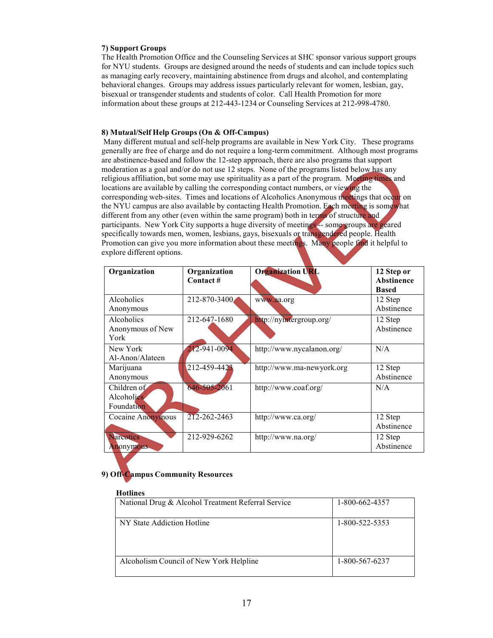#### **7) Support Groups**

The Health Promotion Office and the Counseling Services at SHC sponsor various support groups for NYU students. Groups are designed around the needs of students and can include topics such as managing early recovery, maintaining abstinence from drugs and alcohol, and contemplating behavioral changes. Groups may address issues particularly relevant for women, lesbian, gay, bisexual or transgender students and students of color. Call Health Promotion for more information about these groups at 212-443-1234 or Counseling Services at 212-998-4780.

#### **8) Mut***u***al/Self Help Groups (On & Off-Campus)**

Many different mutual and self-help programs are available in New York City. These programs generally are free of charge and do not require a long-term commitment. Although most programs are abstinence-based and follow the 12-step approach, there are also programs that support moderation as a goal and/or do not use 12 steps. None of the programs listed below has any religious affiliation, but some may use spirituality as a part of the program. Meeting times and locations are available by calling the corresponding contact numbers, or viewing the corresponding web-sites. Times and locations of Alcoholics Anonymous meetings that occur on the NYU campus are also available by contacting Health Promotion. Each meeting is somewhat different from any other (even within the same program) both in terms of structure and participants. New York City supports a huge diversity of meetings -- some groups are geared specifically towards men, women, lesbians, gays, bisexuals or transgendered people. Health Promotion can give you more information about these meetings. Many people find it helpful to explore different options.

| Organization                            | Organization<br>Contact# | <b>Organization URL</b>   | 12 Step or<br><b>Abstinence</b><br><b>Based</b> |
|-----------------------------------------|--------------------------|---------------------------|-------------------------------------------------|
| Alcoholics<br>Anonymous                 | 212-870-3400             | www.aa.org                | 12 Step<br>Abstinence                           |
| Alcoholics<br>Anonymous of New<br>York  | 212-647-1680             | http://nyintergroup.org/  | 12 Step<br>Abstinence                           |
| New York<br>Al-Anon/Alateen             | 212-941-0094             | http://www.nycalanon.org/ | N/A                                             |
| Marijuana<br>Anonymous                  | 212-459-4423             | http://www.ma-newyork.org | 12 Step<br>Abstinence                           |
| Children of<br>Alcoholics<br>Foundation | 646-505-2061             | http://www.coaf.org/      | N/A                                             |
| Cocaine Anonymous                       | 212-262-2463             | http://www.ca.org/        | 12 Step<br>Abstinence                           |
| <b>Narcotics</b><br>Anonymous           | 212-929-6262             | http://www.na.org/        | 12 Step<br>Abstinence                           |

## **9) Off-Campus Community Resources**

#### **Hotlines**

| National Drug & Alcohol Treatment Referral Service | 1-800-662-4357 |
|----------------------------------------------------|----------------|
| NY State Addiction Hotline                         | 1-800-522-5353 |
| Alcoholism Council of New York Helpline            | 1-800-567-6237 |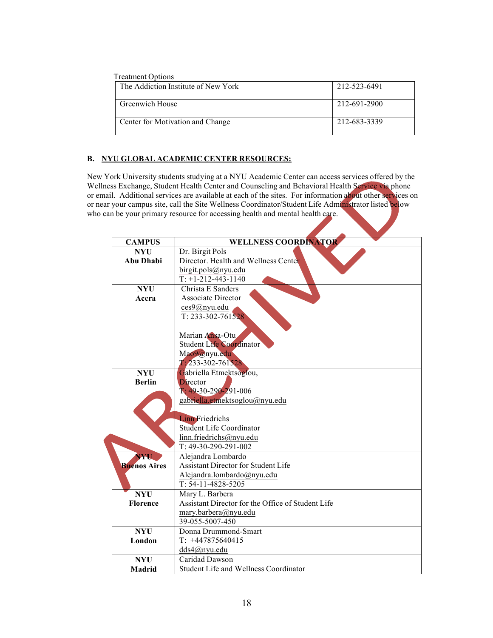| <b>Treatment Options</b>            |              |
|-------------------------------------|--------------|
| The Addiction Institute of New York | 212-523-6491 |
| Greenwich House                     | 212-691-2900 |
| Center for Motivation and Change    | 212-683-3339 |

## **B. NYU GLOBAL ACADEMIC CENTER RESOURCES:**

New York University students studying at a NYU Academic Center can access services offered by the Wellness Exchange, Student Health Center and Counseling and Behavioral Health Service via phone or email. Additional services are available at each of the sites. For information about other services on or near your campus site, call the Site Wellness Coordinator/Student Life Administrator listed below who can be your primary resource for accessing health and mental health care.

| <b>CAMPUS</b>       | <b>WELLNESS COORDINATOR</b>                                          |
|---------------------|----------------------------------------------------------------------|
| <b>NYU</b>          | Dr. Birgit Pols                                                      |
| <b>Abu Dhabi</b>    | Director. Health and Wellness Center                                 |
|                     | birgit.pols@nyu.edu                                                  |
|                     | $T: +1-212-443-1140$                                                 |
| <b>NYU</b>          | Christa E Sanders                                                    |
| Accra               | <b>Associate Director</b>                                            |
|                     | ces9@nyu.edu                                                         |
|                     | $T: 233 - 302 - 761528$                                              |
|                     |                                                                      |
|                     | Marian Ansa-Otu                                                      |
|                     | <b>Student Life Coordinator</b>                                      |
|                     | Mao9@nyu.edu                                                         |
|                     | $T: 233 - 302 - 761528$                                              |
| <b>NYU</b>          | Gabriella Etmektsoglou,                                              |
| <b>Berlin</b>       | <b>Director</b>                                                      |
|                     | $T: 49-30-290-291-006$                                               |
|                     | gabriella.etmektsoglou@nyu.edu                                       |
|                     |                                                                      |
|                     | <b>Linn</b> Friedrichs                                               |
|                     | <b>Student Life Coordinator</b>                                      |
|                     | linn.friedrichs@nyu.edu                                              |
|                     | T: 49-30-290-291-002                                                 |
| <b>NYU</b>          | Alejandra Lombardo                                                   |
| <b>Buenos Aires</b> | <b>Assistant Director for Student Life</b>                           |
|                     | Alejandra.lombardo@nyu.edu                                           |
|                     | T: 54-11-4828-5205                                                   |
| <b>NYU</b>          | Mary L. Barbera<br>Assistant Director for the Office of Student Life |
| <b>Florence</b>     |                                                                      |
|                     | mary.barbera@nyu.edu<br>39-055-5007-450                              |
| <b>NYU</b>          | Donna Drummond-Smart                                                 |
| London              | $T: +447875640415$                                                   |
|                     | dds4@nyu.edu                                                         |
| <b>NYU</b>          | Caridad Dawson                                                       |
|                     | <b>Student Life and Wellness Coordinator</b>                         |
| Madrid              |                                                                      |